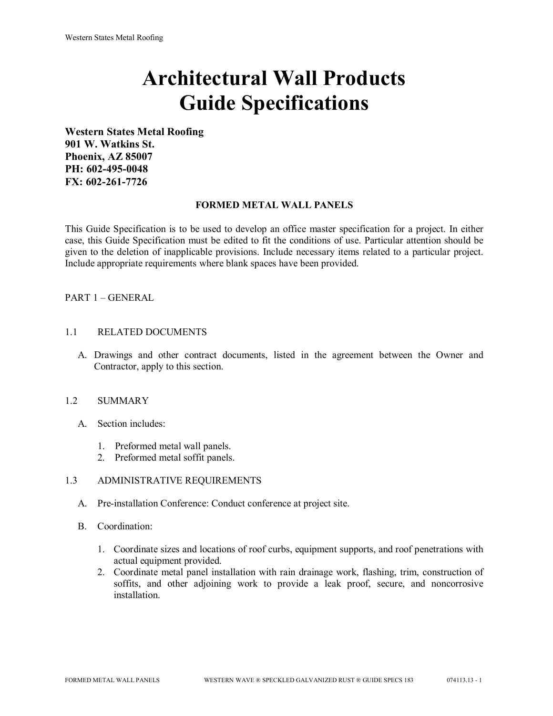# **Architectural Wall Products Guide Specifications**

**Western States Metal Roofing 901 W. Watkins St. Phoenix, AZ 85007 PH: 602-495-0048 FX: 602-261-7726**

## **FORMED METAL WALL PANELS**

This Guide Specification is to be used to develop an office master specification for a project. In either case, this Guide Specification must be edited to fit the conditions of use. Particular attention should be given to the deletion of inapplicable provisions. Include necessary items related to a particular project. Include appropriate requirements where blank spaces have been provided.

## PART 1 – GENERAL

## 1.1 RELATED DOCUMENTS

A. Drawings and other contract documents, listed in the agreement between the Owner and Contractor, apply to this section.

## 1.2 SUMMARY

- A. Section includes:
	- 1. Preformed metal wall panels.
	- 2. Preformed metal soffit panels.

#### 1.3 ADMINISTRATIVE REQUIREMENTS

- A. Pre-installation Conference: Conduct conference at project site.
- B. Coordination:
	- 1. Coordinate sizes and locations of roof curbs, equipment supports, and roof penetrations with actual equipment provided.
	- 2. Coordinate metal panel installation with rain drainage work, flashing, trim, construction of soffits, and other adjoining work to provide a leak proof, secure, and noncorrosive installation.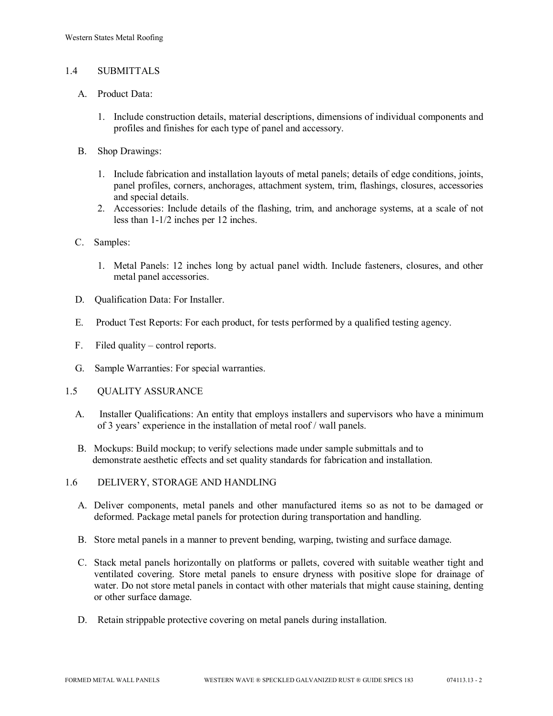## 1.4 SUBMITTALS

- A. Product Data:
	- 1. Include construction details, material descriptions, dimensions of individual components and profiles and finishes for each type of panel and accessory.
- B. Shop Drawings:
	- 1. Include fabrication and installation layouts of metal panels; details of edge conditions, joints, panel profiles, corners, anchorages, attachment system, trim, flashings, closures, accessories and special details.
	- 2. Accessories: Include details of the flashing, trim, and anchorage systems, at a scale of not less than 1-1/2 inches per 12 inches.
- C. Samples:
	- 1. Metal Panels: 12 inches long by actual panel width. Include fasteners, closures, and other metal panel accessories.
- D. Qualification Data: For Installer.
- E. Product Test Reports: For each product, for tests performed by a qualified testing agency.
- F. Filed quality control reports.
- G. Sample Warranties: For special warranties.
- 1.5 QUALITY ASSURANCE
	- A. Installer Qualifications: An entity that employs installers and supervisors who have a minimum of 3 years' experience in the installation of metal roof / wall panels.
	- B. Mockups: Build mockup; to verify selections made under sample submittals and to demonstrate aesthetic effects and set quality standards for fabrication and installation.
- 1.6 DELIVERY, STORAGE AND HANDLING
	- A. Deliver components, metal panels and other manufactured items so as not to be damaged or deformed. Package metal panels for protection during transportation and handling.
	- B. Store metal panels in a manner to prevent bending, warping, twisting and surface damage.
	- C. Stack metal panels horizontally on platforms or pallets, covered with suitable weather tight and ventilated covering. Store metal panels to ensure dryness with positive slope for drainage of water. Do not store metal panels in contact with other materials that might cause staining, denting or other surface damage.
	- D. Retain strippable protective covering on metal panels during installation.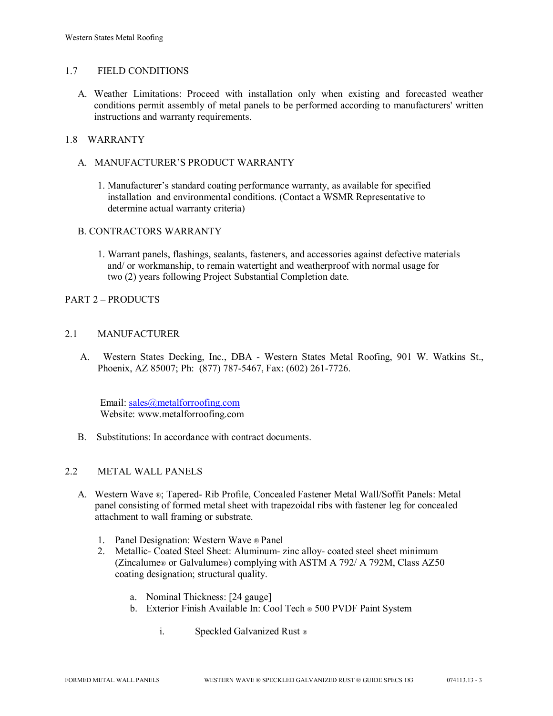## 1.7 FIELD CONDITIONS

A. Weather Limitations: Proceed with installation only when existing and forecasted weather conditions permit assembly of metal panels to be performed according to manufacturers' written instructions and warranty requirements.

## 1.8 WARRANTY

- A. MANUFACTURER'S PRODUCT WARRANTY
	- 1. Manufacturer's standard coating performance warranty, as available for specified installation and environmental conditions. (Contact a WSMR Representative to determine actual warranty criteria)

## B. CONTRACTORS WARRANTY

1. Warrant panels, flashings, sealants, fasteners, and accessories against defective materials and/ or workmanship, to remain watertight and weatherproof with normal usage for two (2) years following Project Substantial Completion date.

## PART 2 – PRODUCTS

## 2.1 MANUFACTURER

 A. Western States Decking, Inc., DBA - Western States Metal Roofing, 901 W. Watkins St., Phoenix, AZ 85007; Ph: (877) 787-5467, Fax: (602) 261-7726.

Email: [sales@metalforroofing.com](mailto:sales@metalforroofing.com) Website: www.metalforroofing.com

B. Substitutions: In accordance with contract documents.

#### 2.2 METAL WALL PANELS

- A. Western Wave ®; Tapered- Rib Profile, Concealed Fastener Metal Wall/Soffit Panels: Metal panel consisting of formed metal sheet with trapezoidal ribs with fastener leg for concealed attachment to wall framing or substrate.
	- 1. Panel Designation: Western Wave ® Panel
	- 2. Metallic- Coated Steel Sheet: Aluminum- zinc alloy- coated steel sheet minimum (Zincalume® or Galvalume®) complying with ASTM A 792/ A 792M, Class AZ50 coating designation; structural quality.
		- a. Nominal Thickness: [24 gauge]
		- b. Exterior Finish Available In: Cool Tech ® 500 PVDF Paint System
			- i. Speckled Galvanized Rust ®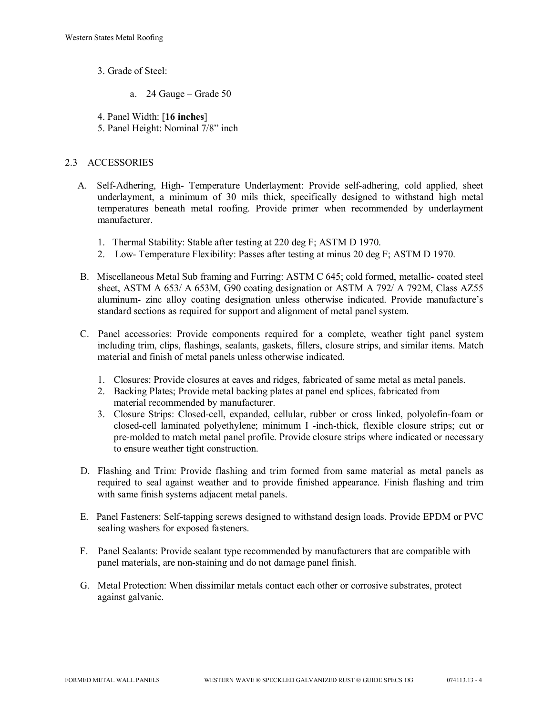- 3. Grade of Steel:
	- a. 24 Gauge Grade 50

4. Panel Width: [**16 inches**]

5. Panel Height: Nominal 7/8" inch

## 2.3 ACCESSORIES

- A. Self-Adhering, High- Temperature Underlayment: Provide self-adhering, cold applied, sheet underlayment, a minimum of 30 mils thick, specifically designed to withstand high metal temperatures beneath metal roofing. Provide primer when recommended by underlayment manufacturer.
	- 1. Thermal Stability: Stable after testing at 220 deg F; ASTM D 1970.
	- 2. Low- Temperature Flexibility: Passes after testing at minus 20 deg F; ASTM D 1970.
- B. Miscellaneous Metal Sub framing and Furring: ASTM C 645; cold formed, metallic- coated steel sheet, ASTM A 653/ A 653M, G90 coating designation or ASTM A 792/ A 792M, Class AZ55 aluminum- zinc alloy coating designation unless otherwise indicated. Provide manufacture's standard sections as required for support and alignment of metal panel system.
- C. Panel accessories: Provide components required for a complete, weather tight panel system including trim, clips, flashings, sealants, gaskets, fillers, closure strips, and similar items. Match material and finish of metal panels unless otherwise indicated.
	- 1. Closures: Provide closures at eaves and ridges, fabricated of same metal as metal panels.
	- 2. Backing Plates; Provide metal backing plates at panel end splices, fabricated from material recommended by manufacturer.
	- 3. Closure Strips: Closed-cell, expanded, cellular, rubber or cross linked, polyolefin-foam or closed-cell laminated polyethylene; minimum I -inch-thick, flexible closure strips; cut or pre-molded to match metal panel profile. Provide closure strips where indicated or necessary to ensure weather tight construction.
- D. Flashing and Trim: Provide flashing and trim formed from same material as metal panels as required to seal against weather and to provide finished appearance. Finish flashing and trim with same finish systems adjacent metal panels.
- E. Panel Fasteners: Self-tapping screws designed to withstand design loads. Provide EPDM or PVC sealing washers for exposed fasteners.
- F. Panel Sealants: Provide sealant type recommended by manufacturers that are compatible with panel materials, are non-staining and do not damage panel finish.
- G. Metal Protection: When dissimilar metals contact each other or corrosive substrates, protect against galvanic.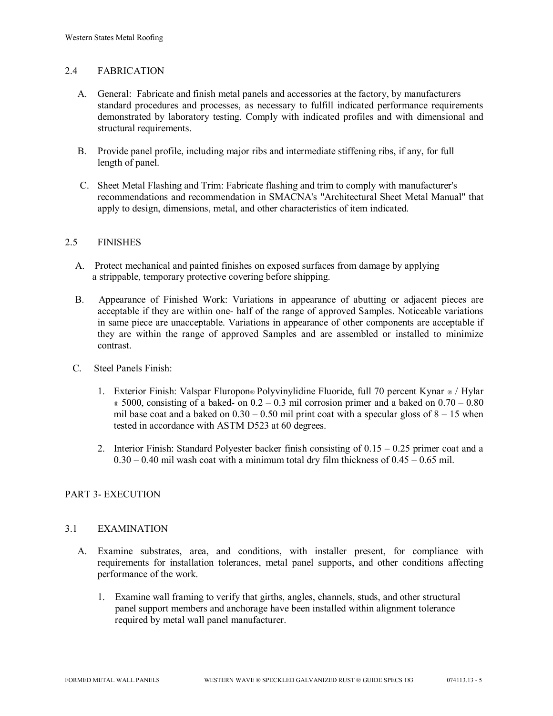## 2.4 FABRICATION

- A. General: Fabricate and finish metal panels and accessories at the factory, by manufacturers standard procedures and processes, as necessary to fulfill indicated performance requirements demonstrated by laboratory testing. Comply with indicated profiles and with dimensional and structural requirements.
- B. Provide panel profile, including major ribs and intermediate stiffening ribs, if any, for full length of panel.
- C. Sheet Metal Flashing and Trim: Fabricate flashing and trim to comply with manufacturer's recommendations and recommendation in SMACNA's "Architectural Sheet Metal Manual" that apply to design, dimensions, metal, and other characteristics of item indicated.

## 2.5 FINISHES

- A. Protect mechanical and painted finishes on exposed surfaces from damage by applying a strippable, temporary protective covering before shipping.
- B. Appearance of Finished Work: Variations in appearance of abutting or adjacent pieces are acceptable if they are within one- half of the range of approved Samples. Noticeable variations in same piece are unacceptable. Variations in appearance of other components are acceptable if they are within the range of approved Samples and are assembled or installed to minimize contrast.
- C. Steel Panels Finish:
	- 1. Exterior Finish: Valspar Fluropon® Polyvinylidine Fluoride, full 70 percent Kynar ® / Hylar  $\infty$  5000, consisting of a baked- on 0.2 – 0.3 mil corrosion primer and a baked on 0.70 – 0.80 mil base coat and a baked on  $0.30 - 0.50$  mil print coat with a specular gloss of  $8 - 15$  when tested in accordance with ASTM D523 at 60 degrees.
	- 2. Interior Finish: Standard Polyester backer finish consisting of 0.15 0.25 primer coat and a  $0.30 - 0.40$  mil wash coat with a minimum total dry film thickness of  $0.45 - 0.65$  mil.

## PART 3- EXECUTION

#### 3.1 EXAMINATION

- A. Examine substrates, area, and conditions, with installer present, for compliance with requirements for installation tolerances, metal panel supports, and other conditions affecting performance of the work.
	- 1. Examine wall framing to verify that girths, angles, channels, studs, and other structural panel support members and anchorage have been installed within alignment tolerance required by metal wall panel manufacturer.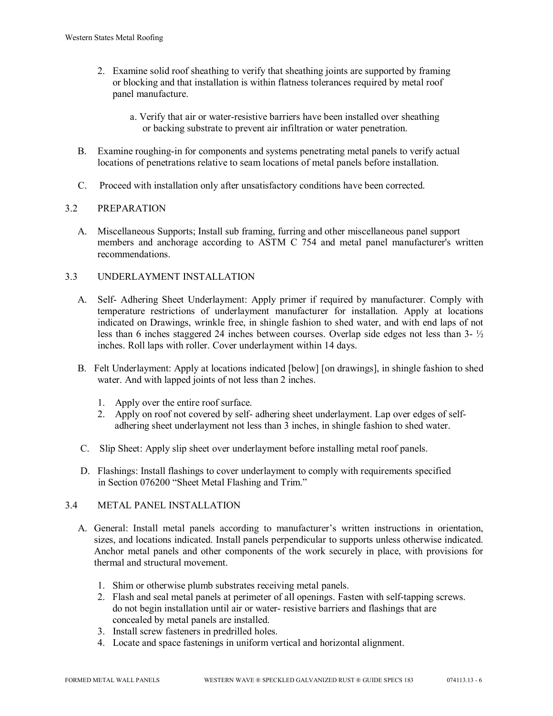- 2. Examine solid roof sheathing to verify that sheathing joints are supported by framing or blocking and that installation is within flatness tolerances required by metal roof panel manufacture.
	- a. Verify that air or water-resistive barriers have been installed over sheathing or backing substrate to prevent air infiltration or water penetration.
- B. Examine roughing-in for components and systems penetrating metal panels to verify actual locations of penetrations relative to seam locations of metal panels before installation.
- C. Proceed with installation only after unsatisfactory conditions have been corrected.

# 3.2 PREPARATION

 A. Miscellaneous Supports; Install sub framing, furring and other miscellaneous panel support members and anchorage according to ASTM C 754 and metal panel manufacturer's written recommendations.

# 3.3 UNDERLAYMENT INSTALLATION

- A. Self- Adhering Sheet Underlayment: Apply primer if required by manufacturer. Comply with temperature restrictions of underlayment manufacturer for installation. Apply at locations indicated on Drawings, wrinkle free, in shingle fashion to shed water, and with end laps of not less than 6 inches staggered 24 inches between courses. Overlap side edges not less than 3- ½ inches. Roll laps with roller. Cover underlayment within 14 days.
- B. Felt Underlayment: Apply at locations indicated [below] [on drawings], in shingle fashion to shed water. And with lapped joints of not less than 2 inches.
	- 1. Apply over the entire roof surface.
	- 2. Apply on roof not covered by self- adhering sheet underlayment. Lap over edges of self adhering sheet underlayment not less than 3 inches, in shingle fashion to shed water.
- C. Slip Sheet: Apply slip sheet over underlayment before installing metal roof panels.
- D. Flashings: Install flashings to cover underlayment to comply with requirements specified in Section 076200 "Sheet Metal Flashing and Trim."

## 3.4 METAL PANEL INSTALLATION

- A. General: Install metal panels according to manufacturer's written instructions in orientation, sizes, and locations indicated. Install panels perpendicular to supports unless otherwise indicated. Anchor metal panels and other components of the work securely in place, with provisions for thermal and structural movement.
	- 1. Shim or otherwise plumb substrates receiving metal panels.
	- 2. Flash and seal metal panels at perimeter of all openings. Fasten with self-tapping screws. do not begin installation until air or water- resistive barriers and flashings that are concealed by metal panels are installed.
	- 3. Install screw fasteners in predrilled holes.
	- 4. Locate and space fastenings in uniform vertical and horizontal alignment.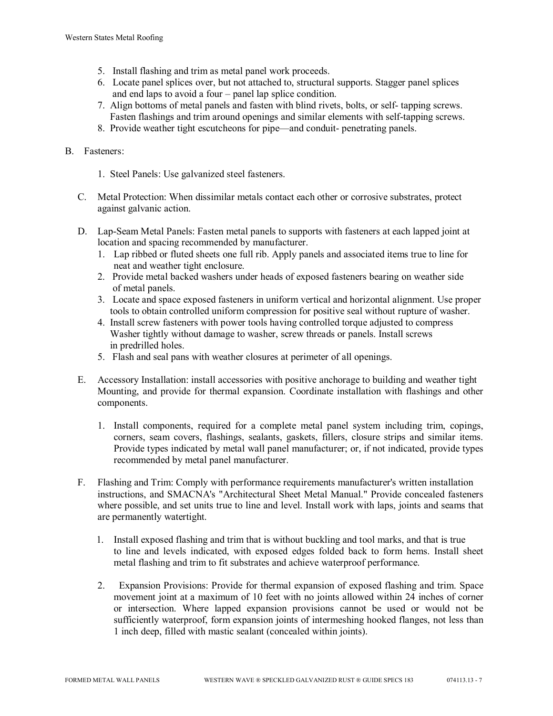- 5. Install flashing and trim as metal panel work proceeds.
- 6. Locate panel splices over, but not attached to, structural supports. Stagger panel splices and end laps to avoid a four – panel lap splice condition.
- 7. Align bottoms of metal panels and fasten with blind rivets, bolts, or self- tapping screws. Fasten flashings and trim around openings and similar elements with self-tapping screws.
- 8. Provide weather tight escutcheons for pipe—and conduit- penetrating panels.

## B. Fasteners:

- 1. Steel Panels: Use galvanized steel fasteners.
- C. Metal Protection: When dissimilar metals contact each other or corrosive substrates, protect against galvanic action.
- D. Lap-Seam Metal Panels: Fasten metal panels to supports with fasteners at each lapped joint at location and spacing recommended by manufacturer.
	- 1. Lap ribbed or fluted sheets one full rib. Apply panels and associated items true to line for neat and weather tight enclosure.
	- 2. Provide metal backed washers under heads of exposed fasteners bearing on weather side of metal panels.
	- 3. Locate and space exposed fasteners in uniform vertical and horizontal alignment. Use proper tools to obtain controlled uniform compression for positive seal without rupture of washer.
	- 4. Install screw fasteners with power tools having controlled torque adjusted to compress Washer tightly without damage to washer, screw threads or panels. Install screws in predrilled holes.
	- 5. Flash and seal pans with weather closures at perimeter of all openings.
- E. Accessory Installation: install accessories with positive anchorage to building and weather tight Mounting, and provide for thermal expansion. Coordinate installation with flashings and other components.
	- 1. Install components, required for a complete metal panel system including trim, copings, corners, seam covers, flashings, sealants, gaskets, fillers, closure strips and similar items. Provide types indicated by metal wall panel manufacturer; or, if not indicated, provide types recommended by metal panel manufacturer.
- F. Flashing and Trim: Comply with performance requirements manufacturer's written installation instructions, and SMACNA's "Architectural Sheet Metal Manual." Provide concealed fasteners where possible, and set units true to line and level. Install work with laps, joints and seams that are permanently watertight.
	- 1. Install exposed flashing and trim that is without buckling and tool marks, and that is true to line and levels indicated, with exposed edges folded back to form hems. Install sheet metal flashing and trim to fit substrates and achieve waterproof performance.
	- 2. Expansion Provisions: Provide for thermal expansion of exposed flashing and trim. Space movement joint at a maximum of 10 feet with no joints allowed within 24 inches of corner or intersection. Where lapped expansion provisions cannot be used or would not be sufficiently waterproof, form expansion joints of intermeshing hooked flanges, not less than 1 inch deep, filled with mastic sealant (concealed within joints).